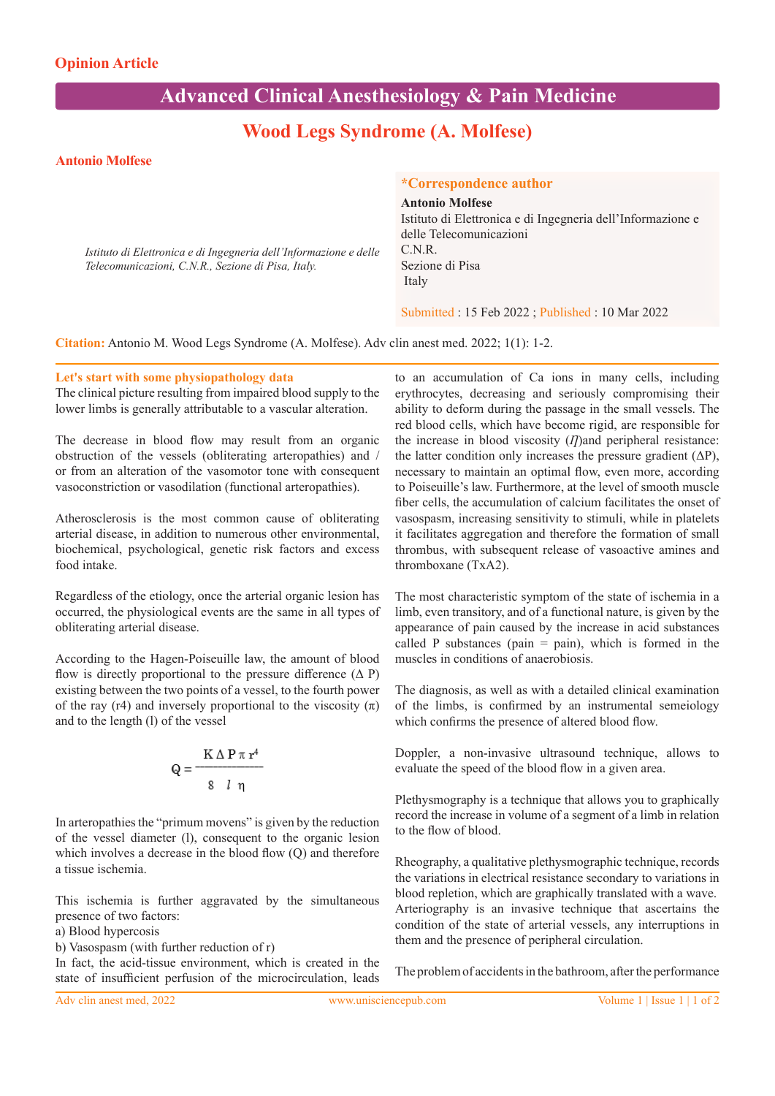# **Advanced Clinical Anesthesiology & Pain Medicine**

## **Wood Legs Syndrome (A. Molfese)**

#### **Antonio Molfese**

*Istituto di Elettronica e di Ingegneria dell'Informazione e delle Telecomunicazioni, C.N.R., Sezione di Pisa, Italy.*

### **\*Correspondence author**

**Antonio Molfese** Istituto di Elettronica e di Ingegneria dell'Informazione e delle Telecomunicazioni C.N.R. Sezione di Pisa Italy

Submitted : 15 Feb 2022 ; Published : 10 Mar 2022

**Citation:** Antonio M. Wood Legs Syndrome (A. Molfese). Adv clin anest med. 2022; 1(1): 1-2.

#### **Let's start with some physiopathology data**

The clinical picture resulting from impaired blood supply to the lower limbs is generally attributable to a vascular alteration.

The decrease in blood flow may result from an organic obstruction of the vessels (obliterating arteropathies) and / or from an alteration of the vasomotor tone with consequent vasoconstriction or vasodilation (functional arteropathies).

Atherosclerosis is the most common cause of obliterating arterial disease, in addition to numerous other environmental, biochemical, psychological, genetic risk factors and excess food intake.

Regardless of the etiology, once the arterial organic lesion has occurred, the physiological events are the same in all types of obliterating arterial disease.

According to the Hagen-Poiseuille law, the amount of blood flow is directly proportional to the pressure difference  $(Δ P)$ existing between the two points of a vessel, to the fourth power of the ray (r4) and inversely proportional to the viscosity  $(\pi)$ and to the length (l) of the vessel

$$
Q = \frac{K \Delta P \pi r^4}{8 l \eta}
$$

In arteropathies the "primum movens" is given by the reduction of the vessel diameter (l), consequent to the organic lesion which involves a decrease in the blood flow (Q) and therefore a tissue ischemia.

This ischemia is further aggravated by the simultaneous presence of two factors:

a) Blood hypercosis

b) Vasospasm (with further reduction of r)

In fact, the acid-tissue environment, which is created in the state of insufficient perfusion of the microcirculation, leads to an accumulation of Ca ions in many cells, including erythrocytes, decreasing and seriously compromising their ability to deform during the passage in the small vessels. The red blood cells, which have become rigid, are responsible for the increase in blood viscosity (*I*) and peripheral resistance: the latter condition only increases the pressure gradient  $(\Delta P)$ , necessary to maintain an optimal flow, even more, according to Poiseuille's law. Furthermore, at the level of smooth muscle fiber cells, the accumulation of calcium facilitates the onset of vasospasm, increasing sensitivity to stimuli, while in platelets it facilitates aggregation and therefore the formation of small thrombus, with subsequent release of vasoactive amines and thromboxane (TxA2).

The most characteristic symptom of the state of ischemia in a limb, even transitory, and of a functional nature, is given by the appearance of pain caused by the increase in acid substances called P substances (pain  $=$  pain), which is formed in the muscles in conditions of anaerobiosis.

The diagnosis, as well as with a detailed clinical examination of the limbs, is confirmed by an instrumental semeiology which confirms the presence of altered blood flow.

Doppler, a non-invasive ultrasound technique, allows to evaluate the speed of the blood flow in a given area.

Plethysmography is a technique that allows you to graphically record the increase in volume of a segment of a limb in relation to the flow of blood.

Rheography, a qualitative plethysmographic technique, records the variations in electrical resistance secondary to variations in blood repletion, which are graphically translated with a wave. Arteriography is an invasive technique that ascertains the condition of the state of arterial vessels, any interruptions in them and the presence of peripheral circulation.

The problem of accidents in the bathroom, after the performance